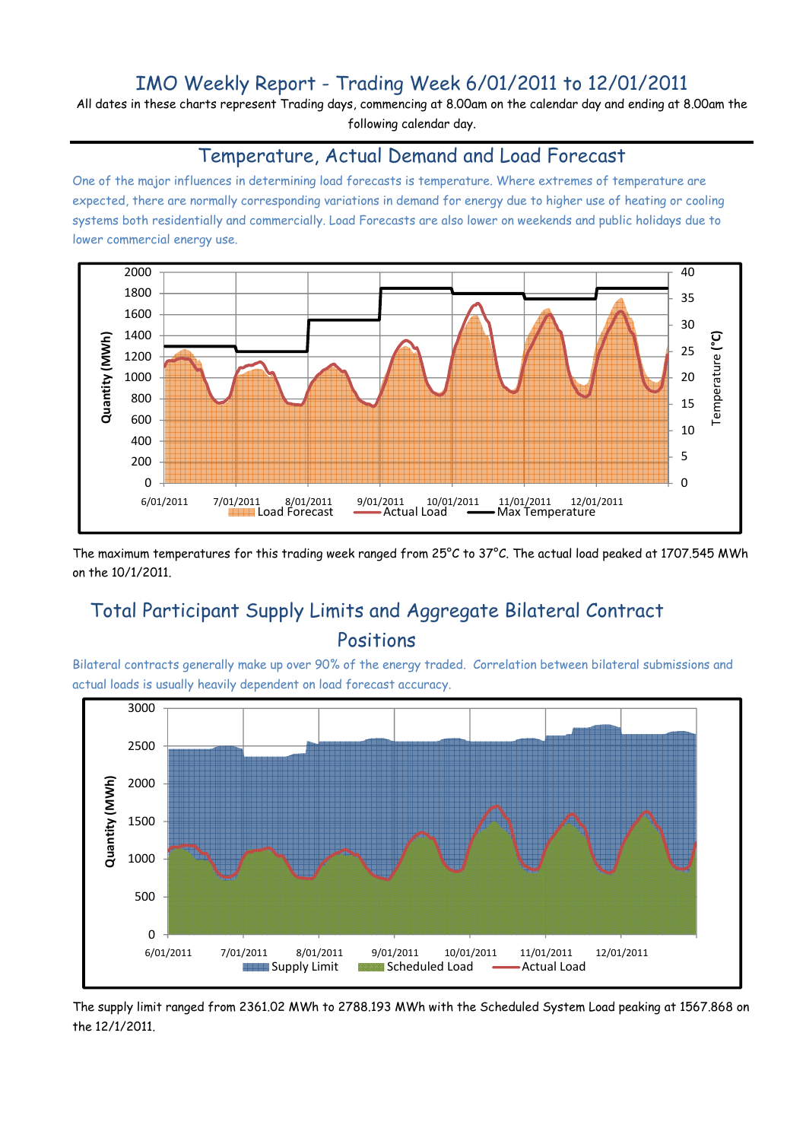## IMO Weekly Report - Trading Week 6/01/2011 to 12/01/2011

All dates in these charts represent Trading days, commencing at 8.00am on the calendar day and ending at 8.00am the following calendar day.

#### Temperature, Actual Demand and Load Forecast

One of the major influences in determining load forecasts is temperature. Where extremes of temperature are expected, there are normally corresponding variations in demand for energy due to higher use of heating or cooling systems both residentially and commercially. Load Forecasts are also lower on weekends and public holidays due to lower commercial energy use.



The maximum temperatures for this trading week ranged from 25°C to 37°C. The actual load peaked at 1707.545 MWh on the 10/1/2011.

# Total Participant Supply Limits and Aggregate Bilateral Contract Positions

Bilateral contracts generally make up over 90% of the energy traded. Correlation between bilateral submissions and actual loads is usually heavily dependent on load forecast accuracy.



The supply limit ranged from 2361.02 MWh to 2788.193 MWh with the Scheduled System Load peaking at 1567.868 on the 12/1/2011.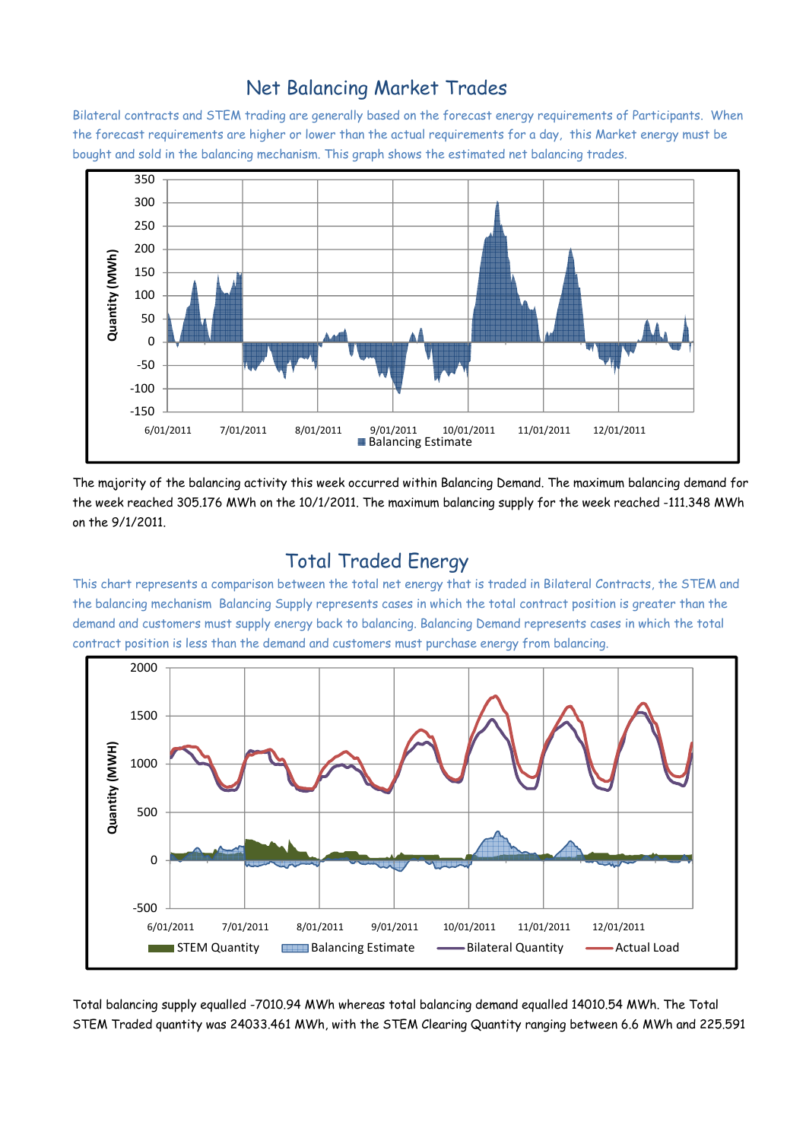### Net Balancing Market Trades

Bilateral contracts and STEM trading are generally based on the forecast energy requirements of Participants. When the forecast requirements are higher or lower than the actual requirements for a day, this Market energy must be bought and sold in the balancing mechanism. This graph shows the estimated net balancing trades.



The majority of the balancing activity this week occurred within Balancing Demand. The maximum balancing demand for the week reached 305.176 MWh on the 10/1/2011. The maximum balancing supply for the week reached -111.348 MWh on the 9/1/2011.

### Total Traded Energy

This chart represents a comparison between the total net energy that is traded in Bilateral Contracts, the STEM and the balancing mechanism Balancing Supply represents cases in which the total contract position is greater than the demand and customers must supply energy back to balancing. Balancing Demand represents cases in which the total contract position is less than the demand and customers must purchase energy from balancing.



Total balancing supply equalled -7010.94 MWh whereas total balancing demand equalled 14010.54 MWh. The Total STEM Traded quantity was 24033.461 MWh, with the STEM Clearing Quantity ranging between 6.6 MWh and 225.591